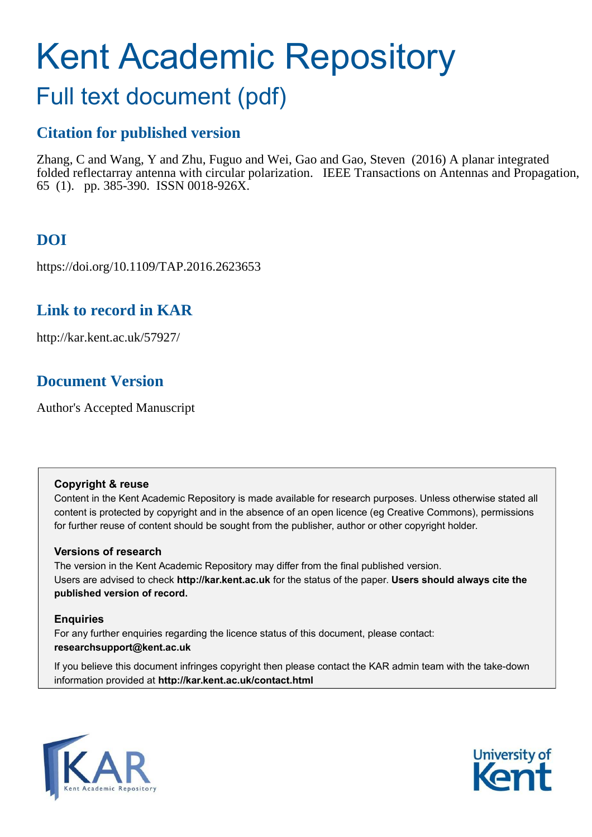# Kent Academic Repository

# Full text document (pdf)

## **Citation for published version**

Zhang, C and Wang, Y and Zhu, Fuguo and Wei, Gao and Gao, Steven (2016) A planar integrated folded reflectarray antenna with circular polarization. IEEE Transactions on Antennas and Propagation, 65 (1). pp. 385-390. ISSN 0018-926X.

# **DOI**

https://doi.org/10.1109/TAP.2016.2623653

## **Link to record in KAR**

http://kar.kent.ac.uk/57927/

## **Document Version**

Author's Accepted Manuscript

#### **Copyright & reuse**

Content in the Kent Academic Repository is made available for research purposes. Unless otherwise stated all content is protected by copyright and in the absence of an open licence (eg Creative Commons), permissions for further reuse of content should be sought from the publisher, author or other copyright holder.

#### **Versions of research**

The version in the Kent Academic Repository may differ from the final published version. Users are advised to check **http://kar.kent.ac.uk** for the status of the paper. **Users should always cite the published version of record.**

#### **Enquiries**

For any further enquiries regarding the licence status of this document, please contact: **researchsupport@kent.ac.uk**

If you believe this document infringes copyright then please contact the KAR admin team with the take-down information provided at **http://kar.kent.ac.uk/contact.html**



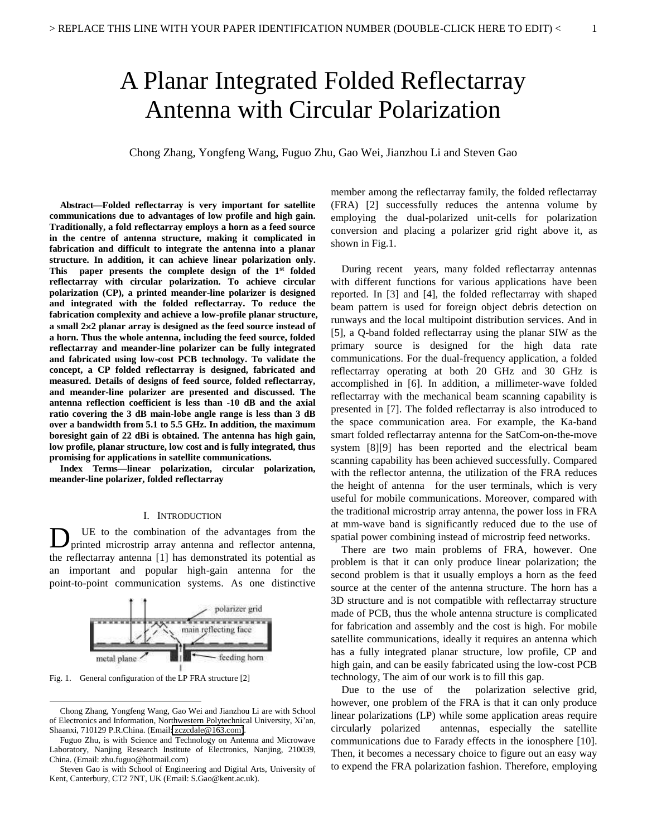# A Planar Integrated Folded Reflectarray Antenna with Circular Polarization

Chong Zhang, Yongfeng Wang, Fuguo Zhu, Gao Wei, Jianzhou Li and Steven Gao

**Abstract—Folded reflectarray is very important for satellite communications due to advantages of low profile and high gain. Traditionally, a fold reflectarray employs a horn as a feed source in the centre of antenna structure, making it complicated in fabrication and difficult to integrate the antenna into a planar structure. In addition, it can achieve linear polarization only. This paper presents the complete design of the 1st folded reflectarray with circular polarization. To achieve circular polarization (CP), a printed meander-line polarizer is designed and integrated with the folded reflectarray. To reduce the fabrication complexity and achieve a low-profile planar structure, a small 22 planar array is designed as the feed source instead of a horn. Thus the whole antenna, including the feed source, folded reflectarray and meander-line polarizer can be fully integrated and fabricated using low-cost PCB technology. To validate the concept, a CP folded reflectarray is designed, fabricated and measured. Details of designs of feed source, folded reflectarray, and meander-line polarizer are presented and discussed. The antenna reflection coefficient is less than -10 dB and the axial ratio covering the 3 dB main-lobe angle range is less than 3 dB over a bandwidth from 5.1 to 5.5 GHz. In addition, the maximum boresight gain of 22 dBi is obtained. The antenna has high gain, low profile, planar structure, low cost and is fully integrated, thus promising for applications in satellite communications.** 

**Index Terms—linear polarization, circular polarization, meander-line polarizer, folded reflectarray** 

#### I. INTRODUCTION

UE to the combination of the advantages from the D UE to the combination of the advantages from the printed microstrip array antenna and reflector antenna, the reflectarray antenna [1] has demonstrated its potential as an important and popular high-gain antenna for the point-to-point communication systems. As one distinctive



Fig. 1. General configuration of the LP FRA structure [2]

l

member among the reflectarray family, the folded reflectarray (FRA) [2] successfully reduces the antenna volume by employing the dual-polarized unit-cells for polarization conversion and placing a polarizer grid right above it, as shown in Fig.1.

During recent years, many folded reflectarray antennas with different functions for various applications have been reported. In [3] and [4], the folded reflectarray with shaped beam pattern is used for foreign object debris detection on runways and the local multipoint distribution services. And in [5], a Q-band folded reflectarray using the planar SIW as the primary source is designed for the high data rate communications. For the dual-frequency application, a folded reflectarray operating at both 20 GHz and 30 GHz is accomplished in [6]. In addition, a millimeter-wave folded reflectarray with the mechanical beam scanning capability is presented in [7]. The folded reflectarray is also introduced to the space communication area. For example, the Ka-band smart folded reflectarray antenna for the SatCom-on-the-move system [8][9] has been reported and the electrical beam scanning capability has been achieved successfully. Compared with the reflector antenna, the utilization of the FRA reduces the height of antenna for the user terminals, which is very useful for mobile communications. Moreover, compared with the traditional microstrip array antenna, the power loss in FRA at mm-wave band is significantly reduced due to the use of spatial power combining instead of microstrip feed networks.

There are two main problems of FRA, however. One problem is that it can only produce linear polarization; the second problem is that it usually employs a horn as the feed source at the center of the antenna structure. The horn has a 3D structure and is not compatible with reflectarray structure made of PCB, thus the whole antenna structure is complicated for fabrication and assembly and the cost is high. For mobile satellite communications, ideally it requires an antenna which has a fully integrated planar structure, low profile, CP and high gain, and can be easily fabricated using the low-cost PCB technology, The aim of our work is to fill this gap.

Due to the use of the polarization selective grid, however, one problem of the FRA is that it can only produce linear polarizations (LP) while some application areas require circularly polarized antennas, especially the satellite communications due to Farady effects in the ionosphere [10]. Then, it becomes a necessary choice to figure out an easy way to expend the FRA polarization fashion. Therefore, employing

Chong Zhang, Yongfeng Wang, Gao Wei and Jianzhou Li are with School of Electronics and Information, Northwestern Polytechnical University, Xi'an, Shaanxi, 710129 P.R.China. (Email[: zczcdale@163.com\)](mailto:zczcdale@163.com).

Fuguo Zhu, is with Science and Technology on Antenna and Microwave Laboratory, Nanjing Research Institute of Electronics, Nanjing, 210039, China. (Email: zhu.fuguo@hotmail.com)

Steven Gao is with School of Engineering and Digital Arts, University of Kent, Canterbury, CT2 7NT, UK (Email: S.Gao@kent.ac.uk).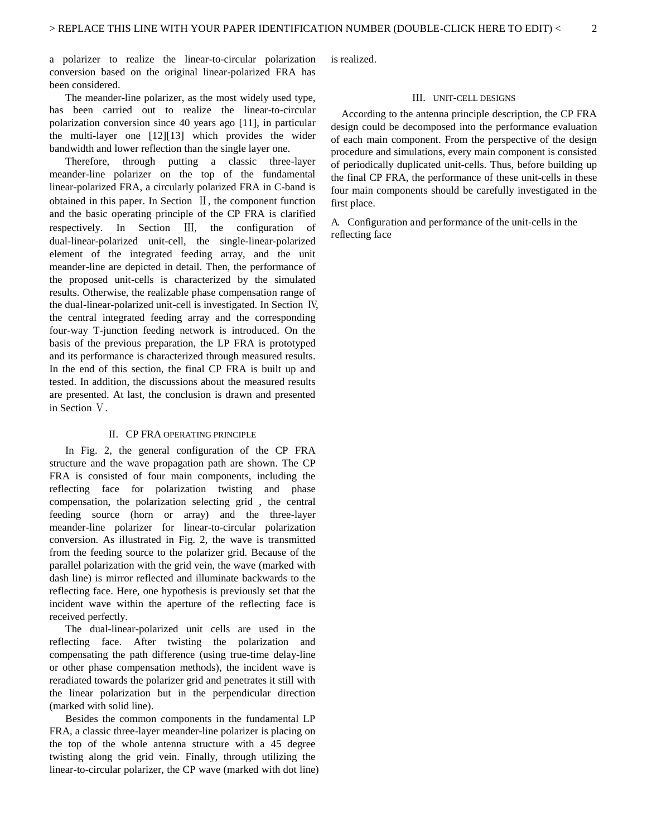a polarizer to realize the linear-to-circular polarization conversion based on the original linear-polarized FRA has been considered.

The meander-line polarizer, as the most widely used type, has been carried out to realize the linear-to-circular polarization conversion since 40 years ago [11], in particular the multi-layer one [12][13] which provides the wider bandwidth and lower reflection than the single layer one.

Therefore, through putting a classic three-layer meander-line polarizer on the top of the fundamental linear-polarized FRA, a circularly polarized FRA in C-band is obtained in this paper. In Section  $\mathbb{I}$ , the component function and the basic operating principle of the CP FRA is clarified respectively. In Section III, the configuration of dual-linear-polarized unit-cell, the single-linear-polarized element of the integrated feeding array, and the unit meander-line are depicted in detail. Then, the performance of the proposed unit-cells is characterized by the simulated results. Otherwise, the realizable phase compensation range of the dual-linear-polarized unit-cell is investigated. In Section ワ, the central integrated feeding array and the corresponding four-way T-junction feeding network is introduced. On the basis of the previous preparation, the LP FRA is prototyped and its performance is characterized through measured results. In the end of this section, the final CP FRA is built up and tested. In addition, the discussions about the measured results are presented. At last, the conclusion is drawn and presented in Section V.

#### II. CP FRA OPERATING PRINCIPLE

In Fig. 2, the general configuration of the CP FRA structure and the wave propagation path are shown. The CP FRA is consisted of four main components, including the reflecting face for polarization twisting and phase compensation, the polarization selecting grid , the central feeding source (horn or array) and the three-layer meander-line polarizer for linear-to-circular polarization conversion. As illustrated in Fig. 2, the wave is transmitted from the feeding source to the polarizer grid. Because of the parallel polarization with the grid vein, the wave (marked with dash line) is mirror reflected and illuminate backwards to the reflecting face. Here, one hypothesis is previously set that the incident wave within the aperture of the reflecting face is received perfectly.

The dual-linear-polarized unit cells are used in the reflecting face. After twisting the polarization and compensating the path difference (using true-time delay-line or other phase compensation methods), the incident wave is reradiated towards the polarizer grid and penetrates it still with the linear polarization but in the perpendicular direction (marked with solid line).

Besides the common components in the fundamental LP FRA, a classic three-layer meander-line polarizer is placing on the top of the whole antenna structure with a 45 degree twisting along the grid vein. Finally, through utilizing the linear-to-circular polarizer, the CP wave (marked with dot line) is realized.

#### III. UNIT-CELL DESIGNS

According to the antenna principle description, the CP FRA design could be decomposed into the performance evaluation of each main component. From the perspective of the design procedure and simulations, every main component is consisted of periodically duplicated unit-cells. Thus, before building up the final CP FRA, the performance of these unit-cells in these four main components should be carefully investigated in the first place.

A. Configuration and performance of the unit-cells in the reflecting face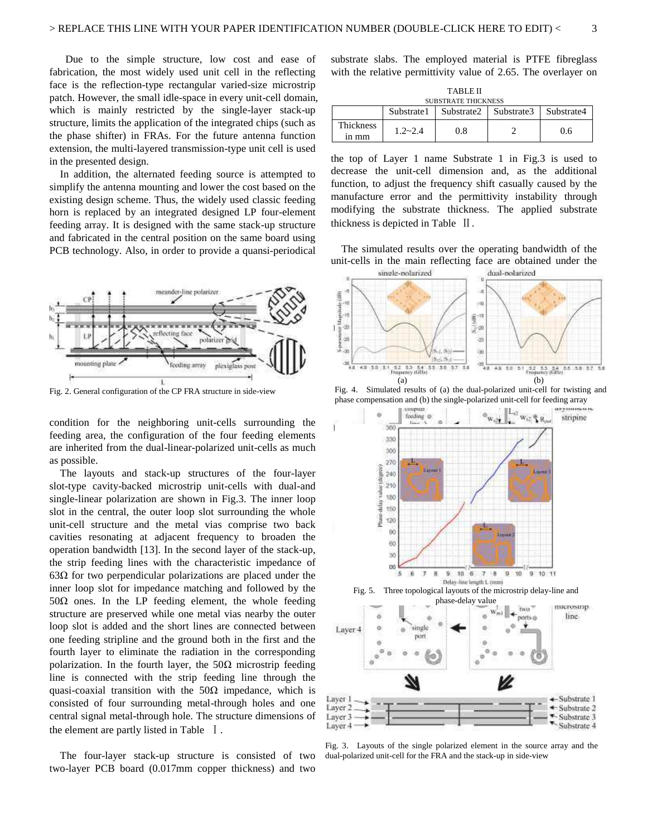Due to the simple structure, low cost and ease of fabrication, the most widely used unit cell in the reflecting face is the reflection-type rectangular varied-size microstrip patch. However, the small idle-space in every unit-cell domain, which is mainly restricted by the single-layer stack-up structure, limits the application of the integrated chips (such as the phase shifter) in FRAs. For the future antenna function extension, the multi-layered transmission-type unit cell is used in the presented design.

In addition, the alternated feeding source is attempted to simplify the antenna mounting and lower the cost based on the existing design scheme. Thus, the widely used classic feeding horn is replaced by an integrated designed LP four-element feeding array. It is designed with the same stack-up structure and fabricated in the central position on the same board using PCB technology. Also, in order to provide a quansi-periodical



Fig. 2. General configuration of the CP FRA structure in side-view

condition for the neighboring unit-cells surrounding the feeding area, the configuration of the four feeding elements are inherited from the dual-linear-polarized unit-cells as much as possible.

The layouts and stack-up structures of the four-layer slot-type cavity-backed microstrip unit-cells with dual-and single-linear polarization are shown in Fig.3. The inner loop slot in the central, the outer loop slot surrounding the whole unit-cell structure and the metal vias comprise two back cavities resonating at adjacent frequency to broaden the operation bandwidth [13]. In the second layer of the stack-up, the strip feeding lines with the characteristic impedance of  $63\Omega$  for two perpendicular polarizations are placed under the inner loop slot for impedance matching and followed by the  $50\Omega$  ones. In the LP feeding element, the whole feeding structure are preserved while one metal vias nearby the outer loop slot is added and the short lines are connected between one feeding stripline and the ground both in the first and the fourth layer to eliminate the radiation in the corresponding polarization. In the fourth layer, the  $50\Omega$  microstrip feeding line is connected with the strip feeding line through the quasi-coaxial transition with the  $50\Omega$  impedance, which is consisted of four surrounding metal-through holes and one central signal metal-through hole. The structure dimensions of the element are partly listed in Table  $\,$  I.

The four-layer stack-up structure is consisted of two two-layer PCB board (0.017mm copper thickness) and two

substrate slabs. The employed material is PTFE fibreglass with the relative permittivity value of 2.65. The overlayer on

| <b>TABLE II</b>    |                            |            |            |            |  |  |
|--------------------|----------------------------|------------|------------|------------|--|--|
|                    | <b>SUBSTRATE THICKNESS</b> |            |            |            |  |  |
|                    | Substrate1                 | Substrate2 | Substrate3 | Substrate4 |  |  |
| Thickness<br>1n mm | $1.2 - 2.4$                | 0.8        |            | 0.6        |  |  |

the top of Layer 1 name Substrate 1 in Fig.3 is used to decrease the unit-cell dimension and, as the additional function, to adjust the frequency shift casually caused by the manufacture error and the permittivity instability through modifying the substrate thickness. The applied substrate thickness is depicted in Table  $\parallel$ .

The simulated results over the operating bandwidth of the unit-cells in the main reflecting face are obtained under the







Fig. 3. Layouts of the single polarized element in the source array and the dual-polarized unit-cell for the FRA and the stack-up in side-view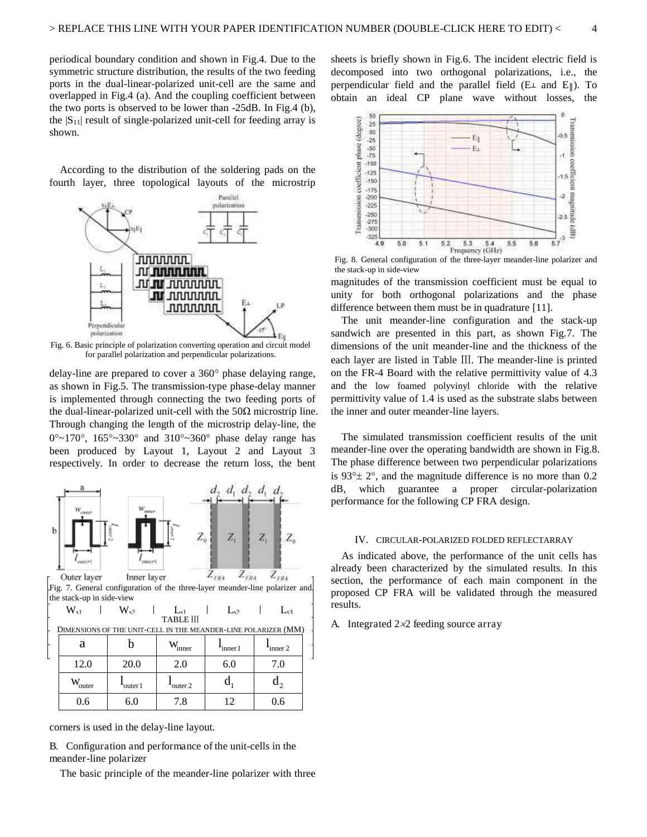periodical boundary condition and shown in Fig.4. Due to the symmetric structure distribution, the results of the two feeding ports in the dual-linear-polarized unit-cell are the same and overlapped in Fig.4 (a). And the coupling coefficient between the two ports is observed to be lower than -25dB. In Fig.4 (b), the  $|S_{11}|$  result of single-polarized unit-cell for feeding array is shown.

According to the distribution of the soldering pads on the fourth layer, three topological layouts of the microstrip



Fig. 6. Basic principle of polarization converting operation and circuit model for parallel polarization and perpendicular polarizations.

delay-line are prepared to cover a  $360^{\circ}$  phase delaying range, as shown in Fig.5. The transmission-type phase-delay manner is implemented through connecting the two feeding ports of the dual-linear-polarized unit-cell with the  $50\Omega$  microstrip line. Through changing the length of the microstrip delay-line, the  $0^{\circ}$ ~170°, 165°~330° and 310°~360° phase delay range has been produced by Layout 1, Layout 2 and Layout 3 respectively. In order to decrease the return loss, the bent



Inner layer  $Z_{FR4}$ Fig. 7. General configuration of the three-layer meander-line polarizer and Fig. 7. General configuration of the three-layer meander-line polarizer and the stack-up in side-view

| $W_{c1}$                                                       | $W_{\sigma}$ | $\mathbf{L}_{e1}$<br><b>TABLE III</b> | $\Gamma_{\alpha2}$ | $\mathbf{L}_{e}$ |  |  |  |
|----------------------------------------------------------------|--------------|---------------------------------------|--------------------|------------------|--|--|--|
| DIMENSIONS OF THE UNIT-CELL IN THE MEANDER-LINE POLARIZER (MM) |              |                                       |                    |                  |  |  |  |
| а                                                              |              | inner                                 | inner 1            | inner 2          |  |  |  |
| 12.0                                                           | 20.0         | 2.0                                   | 6.0                | 7.0              |  |  |  |
| w<br>outer                                                     | outer 1      | outer 2                               |                    |                  |  |  |  |
| 0.6                                                            | 6.0          | 7.8                                   | $\overline{1}$     |                  |  |  |  |

corners is used in the delay-line layout.

B. Configuration and performance of the unit-cells in the meander-line polarizer

The basic principle of the meander-line polarizer with three

sheets is briefly shown in Fig.6. The incident electric field is decomposed into two orthogonal polarizations, i.e., the perpendicular field and the parallel field ( $E \perp$  and  $E \parallel$ ). To obtain an ideal CP plane wave without losses, the



Fig. 8. General configuration of the three-layer meander-line polarizer and the stack-up in side-view

magnitudes of the transmission coefficient must be equal to unity for both orthogonal polarizations and the phase difference between them must be in quadrature [11].

The unit meander-line configuration and the stack-up sandwich are presented in this part, as shown Fig.7. The dimensions of the unit meander-line and the thickness of the each layer are listed in Table III. The meander-line is printed on the FR-4 Board with the relative permittivity value of 4.3 and the low foamed polyvinyl chloride with the relative permittivity value of 1.4 is used as the substrate slabs between the inner and outer meander-line layers.

The simulated transmission coefficient results of the unit meander-line over the operating bandwidth are shown in Fig.8. The phase difference between two perpendicular polarizations is  $93^\circ \pm 2^\circ$ , and the magnitude difference is no more than 0.2 dB, which guarantee a proper circular-polarization performance for the following CP FRA design.

#### IV. CIRCULAR-POLARIZED FOLDED REFLECTARRAY

As indicated above, the performance of the unit cells has already been characterized by the simulated results. In this section, the performance of each main component in the proposed CP FRA will be validated through the measured results.

A. Integrated  $2 \times 2$  feeding source array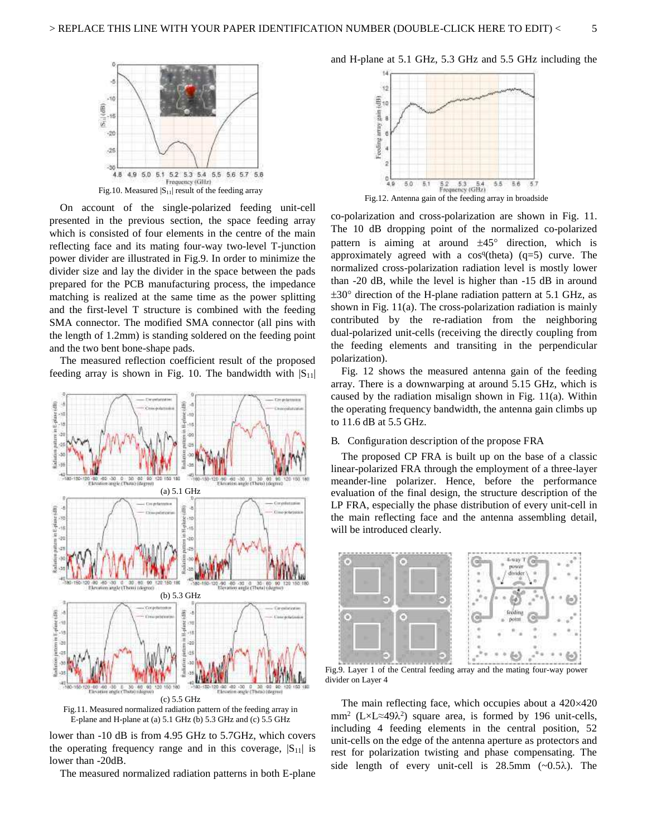

On account of the single-polarized feeding unit-cell presented in the previous section, the space feeding array which is consisted of four elements in the centre of the main reflecting face and its mating four-way two-level T-junction power divider are illustrated in Fig.9. In order to minimize the divider size and lay the divider in the space between the pads prepared for the PCB manufacturing process, the impedance matching is realized at the same time as the power splitting and the first-level T structure is combined with the feeding SMA connector. The modified SMA connector (all pins with the length of 1.2mm) is standing soldered on the feeding point and the two bent bone-shape pads.

The measured reflection coefficient result of the proposed feeding array is shown in Fig. 10. The bandwidth with  $|S_{11}|$ 



![](_page_5_Figure_5.jpeg)

lower than -10 dB is from 4.95 GHz to 5.7GHz, which covers the operating frequency range and in this coverage,  $|S_{11}|$  is lower than -20dB.

The measured normalized radiation patterns in both E-plane

and H-plane at 5.1 GHz, 5.3 GHz and 5.5 GHz including the

![](_page_5_Figure_9.jpeg)

co-polarization and cross-polarization are shown in Fig. 11. The 10 dB dropping point of the normalized co-polarized pattern is aiming at around  $\pm 45^\circ$  direction, which is approximately agreed with a  $cos<sup>q</sup>(theta)$  (q=5) curve. The normalized cross-polarization radiation level is mostly lower than -20 dB, while the level is higher than -15 dB in around  $\pm 30^{\circ}$  direction of the H-plane radiation pattern at 5.1 GHz, as shown in Fig. 11(a). The cross-polarization radiation is mainly contributed by the re-radiation from the neighboring dual-polarized unit-cells (receiving the directly coupling from the feeding elements and transiting in the perpendicular polarization).

Fig. 12 shows the measured antenna gain of the feeding array. There is a downwarping at around 5.15 GHz, which is caused by the radiation misalign shown in Fig. 11(a). Within the operating frequency bandwidth, the antenna gain climbs up to 11.6 dB at 5.5 GHz.

#### B. Configuration description of the propose FRA

The proposed CP FRA is built up on the base of a classic linear-polarized FRA through the employment of a three-layer meander-line polarizer. Hence, before the performance evaluation of the final design, the structure description of the LP FRA, especially the phase distribution of every unit-cell in the main reflecting face and the antenna assembling detail, will be introduced clearly.

![](_page_5_Figure_14.jpeg)

Fig.9. Layer 1 of the Central feeding array and the mating four-way power divider on Layer 4

The main reflecting face, which occupies about a  $420\times420$ mm<sup>2</sup> (L×L≈49 $\lambda$ <sup>2</sup>) square area, is formed by 196 unit-cells, including 4 feeding elements in the central position, 52 unit-cells on the edge of the antenna aperture as protectors and rest for polarization twisting and phase compensating. The side length of every unit-cell is  $28.5 \text{mm}$  ( $\sim 0.5 \lambda$ ). The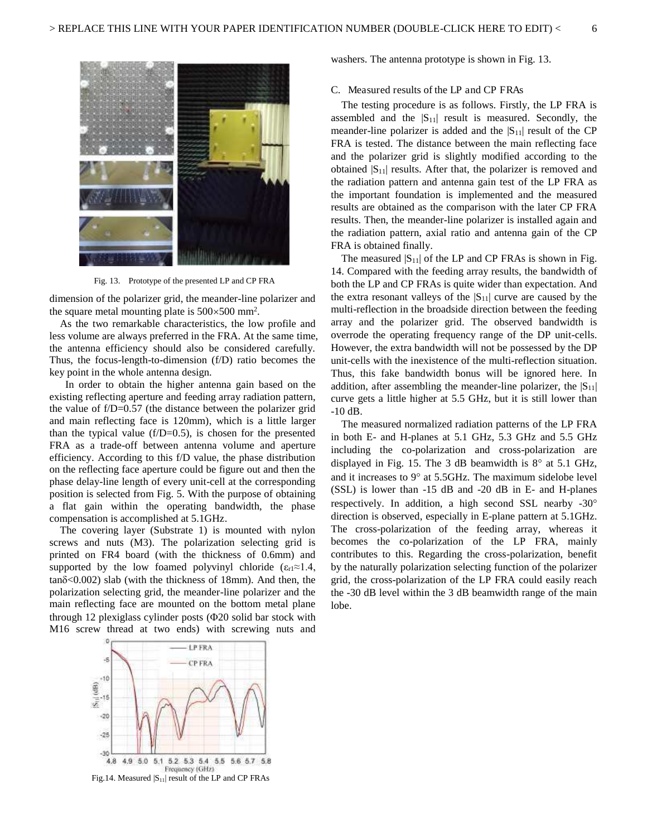![](_page_6_Picture_1.jpeg)

Fig. 13. Prototype of the presented LP and CP FRA

dimension of the polarizer grid, the meander-line polarizer and the square metal mounting plate is  $500 \times 500$  mm<sup>2</sup>.

As the two remarkable characteristics, the low profile and less volume are always preferred in the FRA. At the same time, the antenna efficiency should also be considered carefully. Thus, the focus-length-to-dimension (f/D) ratio becomes the key point in the whole antenna design.

 In order to obtain the higher antenna gain based on the existing reflecting aperture and feeding array radiation pattern, the value of  $f/D=0.57$  (the distance between the polarizer grid and main reflecting face is 120mm), which is a little larger than the typical value  $(f/D=0.5)$ , is chosen for the presented FRA as a trade-off between antenna volume and aperture efficiency. According to this f/D value, the phase distribution on the reflecting face aperture could be figure out and then the phase delay-line length of every unit-cell at the corresponding position is selected from Fig. 5. With the purpose of obtaining a flat gain within the operating bandwidth, the phase compensation is accomplished at 5.1GHz.

The covering layer (Substrate 1) is mounted with nylon screws and nuts (M3). The polarization selecting grid is printed on FR4 board (with the thickness of 0.6mm) and supported by the low foamed polyvinyl chloride ( $\varepsilon_{r1} \approx 1.4$ ,  $tan\delta < 0.002$ ) slab (with the thickness of 18mm). And then, the polarization selecting grid, the meander-line polarizer and the main reflecting face are mounted on the bottom metal plane through 12 plexiglass cylinder posts  $(\Phi 20)$  solid bar stock with M16 screw thread at two ends) with screwing nuts and washers. The antenna prototype is shown in Fig. 13.

#### C. Measured results of the LP and CP FRAs

The testing procedure is as follows. Firstly, the LP FRA is assembled and the  $|S_{11}|$  result is measured. Secondly, the meander-line polarizer is added and the  $|S_{11}|$  result of the CP FRA is tested. The distance between the main reflecting face and the polarizer grid is slightly modified according to the obtained  $|S_{11}|$  results. After that, the polarizer is removed and the radiation pattern and antenna gain test of the LP FRA as the important foundation is implemented and the measured results are obtained as the comparison with the later CP FRA results. Then, the meander-line polarizer is installed again and the radiation pattern, axial ratio and antenna gain of the CP FRA is obtained finally.

The measured  $|S_{11}|$  of the LP and CP FRAs is shown in Fig. 14. Compared with the feeding array results, the bandwidth of both the LP and CP FRAs is quite wider than expectation. And the extra resonant valleys of the  $|S_{11}|$  curve are caused by the multi-reflection in the broadside direction between the feeding array and the polarizer grid. The observed bandwidth is overrode the operating frequency range of the DP unit-cells. However, the extra bandwidth will not be possessed by the DP unit-cells with the inexistence of the multi-reflection situation. Thus, this fake bandwidth bonus will be ignored here. In addition, after assembling the meander-line polarizer, the  $|S_{11}|$ curve gets a little higher at 5.5 GHz, but it is still lower than -10 dB.

The measured normalized radiation patterns of the LP FRA in both E- and H-planes at 5.1 GHz, 5.3 GHz and 5.5 GHz including the co-polarization and cross-polarization are displayed in Fig. 15. The 3 dB beamwidth is  $8^\circ$  at 5.1 GHz, and it increases to  $9^{\circ}$  at 5.5GHz. The maximum sidelobe level (SSL) is lower than -15 dB and -20 dB in E- and H-planes respectively. In addition, a high second SSL nearby -30 direction is observed, especially in E-plane pattern at 5.1GHz. The cross-polarization of the feeding array, whereas it becomes the co-polarization of the LP FRA, mainly contributes to this. Regarding the cross-polarization, benefit by the naturally polarization selecting function of the polarizer grid, the cross-polarization of the LP FRA could easily reach the -30 dB level within the 3 dB beamwidth range of the main lobe.

![](_page_6_Figure_12.jpeg)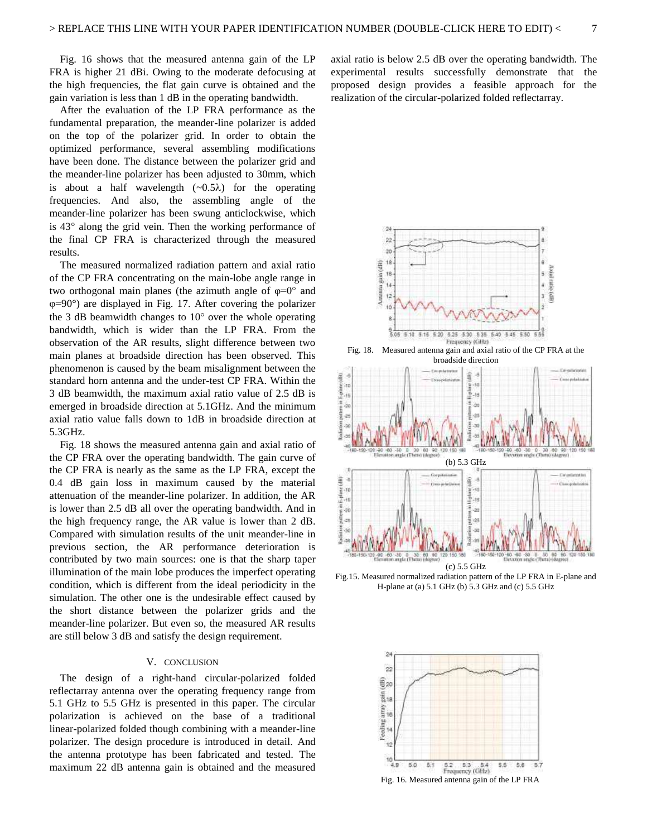Fig. 16 shows that the measured antenna gain of the LP FRA is higher 21 dBi. Owing to the moderate defocusing at the high frequencies, the flat gain curve is obtained and the gain variation is less than 1 dB in the operating bandwidth.

After the evaluation of the LP FRA performance as the fundamental preparation, the meander-line polarizer is added on the top of the polarizer grid. In order to obtain the optimized performance, several assembling modifications have been done. The distance between the polarizer grid and the meander-line polarizer has been adjusted to 30mm, which is about a half wavelength  $(\sim 0.5\lambda)$  for the operating frequencies. And also, the assembling angle of the meander-line polarizer has been swung anticlockwise, which is  $43^\circ$  along the grid vein. Then the working performance of the final CP FRA is characterized through the measured results.

The measured normalized radiation pattern and axial ratio of the CP FRA concentrating on the main-lobe angle range in two orthogonal main planes (the azimuth angle of  $\varphi=0^{\circ}$  and  $\varphi$ =90°) are displayed in Fig. 17. After covering the polarizer the 3 dB beamwidth changes to  $10^{\circ}$  over the whole operating bandwidth, which is wider than the LP FRA. From the observation of the AR results, slight difference between two main planes at broadside direction has been observed. This phenomenon is caused by the beam misalignment between the standard horn antenna and the under-test CP FRA. Within the 3 dB beamwidth, the maximum axial ratio value of 2.5 dB is emerged in broadside direction at 5.1GHz. And the minimum axial ratio value falls down to 1dB in broadside direction at 5.3GHz.

Fig. 18 shows the measured antenna gain and axial ratio of the CP FRA over the operating bandwidth. The gain curve of the CP FRA is nearly as the same as the LP FRA, except the 0.4 dB gain loss in maximum caused by the material attenuation of the meander-line polarizer. In addition, the AR is lower than 2.5 dB all over the operating bandwidth. And in the high frequency range, the AR value is lower than 2 dB. Compared with simulation results of the unit meander-line in previous section, the AR performance deterioration is contributed by two main sources: one is that the sharp taper illumination of the main lobe produces the imperfect operating condition, which is different from the ideal periodicity in the simulation. The other one is the undesirable effect caused by the short distance between the polarizer grids and the meander-line polarizer. But even so, the measured AR results are still below 3 dB and satisfy the design requirement.

#### V. CONCLUSION

The design of a right-hand circular-polarized folded reflectarray antenna over the operating frequency range from 5.1 GHz to 5.5 GHz is presented in this paper. The circular polarization is achieved on the base of a traditional linear-polarized folded though combining with a meander-line polarizer. The design procedure is introduced in detail. And the antenna prototype has been fabricated and tested. The maximum 22 dB antenna gain is obtained and the measured axial ratio is below 2.5 dB over the operating bandwidth. The experimental results successfully demonstrate that the proposed design provides a feasible approach for the realization of the circular-polarized folded reflectarray.

![](_page_7_Figure_8.jpeg)

Fig.15. Measured normalized radiation pattern of the LP FRA in E-plane and H-plane at (a) 5.1 GHz (b) 5.3 GHz and (c) 5.5 GHz

![](_page_7_Figure_10.jpeg)

![](_page_7_Figure_11.jpeg)